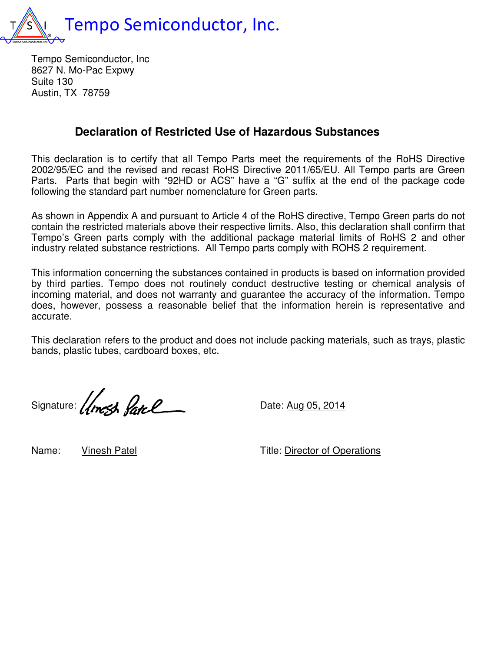

Tempo Semiconductor, Inc 8627 N. Mo-Pac Expwy Suite 130 Austin, TX 78759

## **Declaration of Restricted Use of Hazardous Substances Hazardous Substances**

This declaration is to certify that all Tempo Parts meet the requirements of the RoHS Directive This declaration is to certify that all Tempo Parts meet the requirements of the RoHS Directive<br>2002/95/EC and the revised and recast RoHS Directive 2011/65/EU. All Tempo parts are Green Parts. Parts that begin with "92HD or ACS" have a "G" suffix at the end of the package code following the standard part number nomenclature for Green parts.

following the standard part number nomenclature for Green parts.<br>As shown in Appendix A and pursuant to Article 4 of the RoHS directive, Tempo Green parts do not contain the restricted materials above their respective limits. Also, this declaration shall confirm that Tempo's Green parts comply with the additional package material limits of RoHS 2 and other industry related substance restrictions. All Tempo parts comply with ROHS 2 requirement. contain the restricted materials above their respective limits. Also, this declaration shall confirm<br>Tempo's Green parts comply with the additional package material limits of RoHS 2 and o<br>industry related substance restric Il Tempo parts are Green<br>end of the package code<br>Tempo Green parts do not<br>claration shall confirm that<br>iits of RoHS 2 and other<br>IS 2 requirement.

This information concerning the substances contained in products is based on information provided by third parties. Tempo does not routinely conduct destructive testing or chemical analysis of incoming material, and does not warranty and guarantee the accuracy of the information. Tempo does, however, possess a reasonable belief that the information herein is representative and accurate. This information concerning the substances contained in products is based on information provided<br>by third parties. Tempo does not routinely conduct destructive testing or chemical analysis of<br>incoming material, and does n

This declaration refers to the product and does not include packing materials, such as trays, plastic bands, plastic tubes, cardboard boxes, etc.

bands, plastic tubes, cardboard boxes, etc.<br>Signature: (Apres Retr P

Name: Vinesh Patel

Title: Director of Operations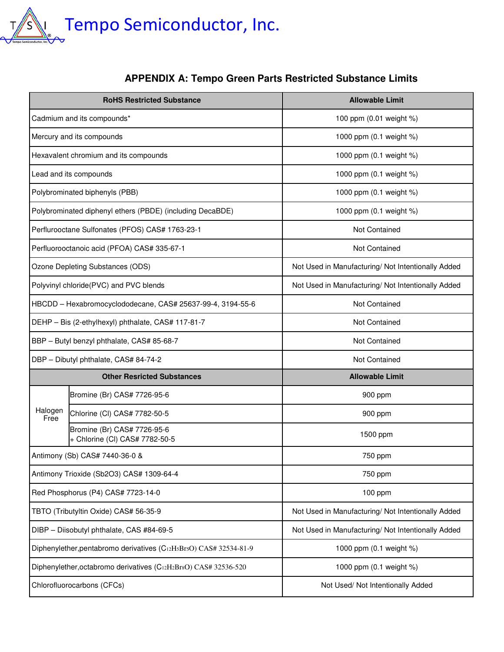

## **APPENDIX A: APPENDIX Tempo Green Parts Restricted Substance Limits**

|                                                                   | <b>RoHS Restricted Substance</b>                              | <b>Allowable Limit</b>                             |
|-------------------------------------------------------------------|---------------------------------------------------------------|----------------------------------------------------|
| Cadmium and its compounds*                                        |                                                               | 100 ppm (0.01 weight %)                            |
| Mercury and its compounds                                         |                                                               | 1000 ppm (0.1 weight %)                            |
| Hexavalent chromium and its compounds                             |                                                               | 1000 ppm (0.1 weight %)                            |
| Lead and its compounds                                            |                                                               | 1000 ppm (0.1 weight %)                            |
| Polybrominated biphenyls (PBB)                                    |                                                               | 1000 ppm (0.1 weight %)                            |
| Polybrominated diphenyl ethers (PBDE) (including DecaBDE)         |                                                               | 1000 ppm (0.1 weight %)                            |
| Perflurooctane Sulfonates (PFOS) CAS# 1763-23-1                   |                                                               | Not Contained                                      |
| Perfluorooctanoic acid (PFOA) CAS# 335-67-1                       |                                                               | <b>Not Contained</b>                               |
| Ozone Depleting Substances (ODS)                                  |                                                               | Not Used in Manufacturing/ Not Intentionally Added |
| Polyvinyl chloride(PVC) and PVC blends                            |                                                               | Not Used in Manufacturing/ Not Intentionally Added |
| HBCDD - Hexabromocyclododecane, CAS# 25637-99-4, 3194-55-6        |                                                               | Not Contained                                      |
| DEHP - Bis (2-ethylhexyl) phthalate, CAS# 117-81-7                |                                                               | Not Contained                                      |
| BBP - Butyl benzyl phthalate, CAS# 85-68-7                        |                                                               | Not Contained                                      |
| DBP - Dibutyl phthalate, CAS# 84-74-2                             |                                                               | Not Contained                                      |
|                                                                   | <b>Other Resricted Substances</b>                             | <b>Allowable Limit</b>                             |
| Halogen<br>Free                                                   | Bromine (Br) CAS# 7726-95-6                                   | 900 ppm                                            |
|                                                                   | Chlorine (CI) CAS# 7782-50-5                                  | 900 ppm                                            |
|                                                                   | Bromine (Br) CAS# 7726-95-6<br>+ Chlorine (Cl) CAS# 7782-50-5 | 1500 ppm                                           |
| Antimony (Sb) CAS# 7440-36-0 &                                    |                                                               | 750 ppm                                            |
| Antimony Trioxide (Sb2O3) CAS# 1309-64-4                          |                                                               | 750 ppm                                            |
| Red Phosphorus (P4) CAS# 7723-14-0                                |                                                               | 100 ppm                                            |
| TBTO (Tributyltin Oxide) CAS# 56-35-9                             |                                                               | Not Used in Manufacturing/ Not Intentionally Added |
| DIBP - Diisobutyl phthalate, CAS #84-69-5                         |                                                               | Not Used in Manufacturing/ Not Intentionally Added |
| Diphenylether, pentabromo derivatives (C12H5Br5O) CAS# 32534-81-9 |                                                               | 1000 ppm (0.1 weight %)                            |
| Diphenylether, octabromo derivatives (C12H2Br8O) CAS# 32536-520   |                                                               | 1000 ppm (0.1 weight %)                            |
| Chlorofluorocarbons (CFCs)                                        |                                                               | Not Used/ Not Intentionally Added                  |